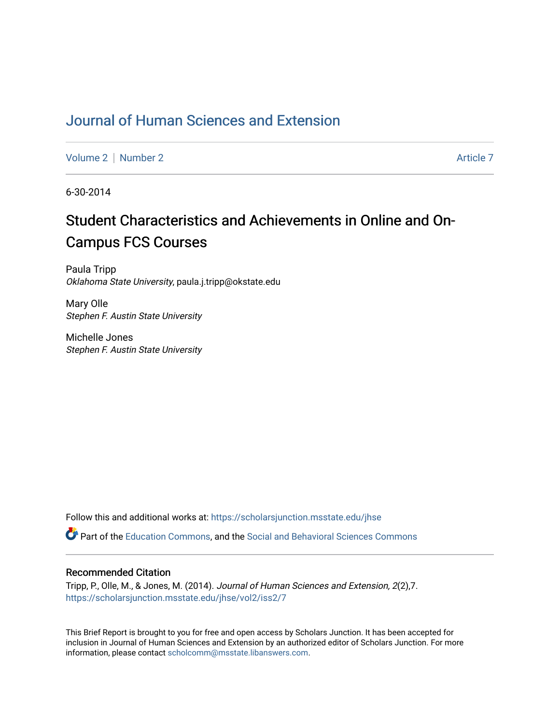# [Journal of Human Sciences and Extension](https://scholarsjunction.msstate.edu/jhse)

[Volume 2](https://scholarsjunction.msstate.edu/jhse/vol2) | [Number 2](https://scholarsjunction.msstate.edu/jhse/vol2/iss2) Article 7

6-30-2014

# Student Characteristics and Achievements in Online and On-Campus FCS Courses

Paula Tripp Oklahoma State University, paula.j.tripp@okstate.edu

Mary Olle Stephen F. Austin State University

Michelle Jones Stephen F. Austin State University

Follow this and additional works at: [https://scholarsjunction.msstate.edu/jhse](https://scholarsjunction.msstate.edu/jhse?utm_source=scholarsjunction.msstate.edu%2Fjhse%2Fvol2%2Fiss2%2F7&utm_medium=PDF&utm_campaign=PDFCoverPages)

Part of the [Education Commons](http://network.bepress.com/hgg/discipline/784?utm_source=scholarsjunction.msstate.edu%2Fjhse%2Fvol2%2Fiss2%2F7&utm_medium=PDF&utm_campaign=PDFCoverPages), and the [Social and Behavioral Sciences Commons](http://network.bepress.com/hgg/discipline/316?utm_source=scholarsjunction.msstate.edu%2Fjhse%2Fvol2%2Fiss2%2F7&utm_medium=PDF&utm_campaign=PDFCoverPages) 

#### Recommended Citation

Tripp, P., Olle, M., & Jones, M. (2014). Journal of Human Sciences and Extension, 2(2),7. [https://scholarsjunction.msstate.edu/jhse/vol2/iss2/7](https://scholarsjunction.msstate.edu/jhse/vol2/iss2/7?utm_source=scholarsjunction.msstate.edu%2Fjhse%2Fvol2%2Fiss2%2F7&utm_medium=PDF&utm_campaign=PDFCoverPages)

This Brief Report is brought to you for free and open access by Scholars Junction. It has been accepted for inclusion in Journal of Human Sciences and Extension by an authorized editor of Scholars Junction. For more information, please contact [scholcomm@msstate.libanswers.com](mailto:scholcomm@msstate.libanswers.com).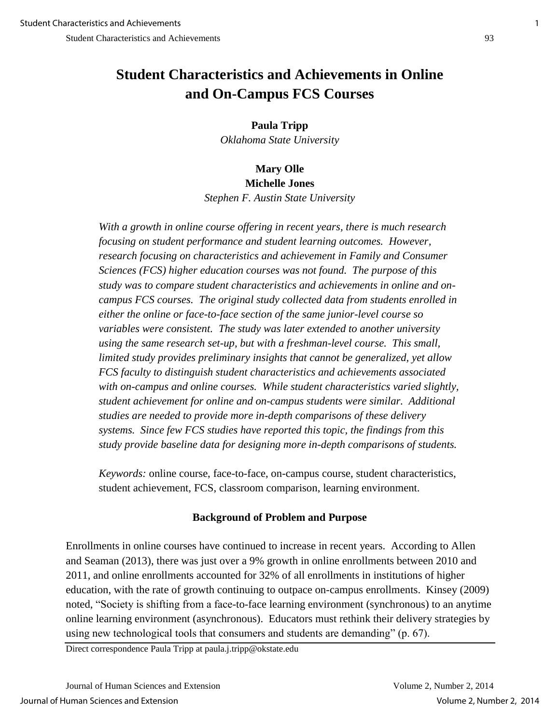# **Student Characteristics and Achievements in Online and On-Campus FCS Courses**

**Paula Tripp**  *Oklahoma State University* 

## **Mary Olle Michelle Jones**  *Stephen F. Austin State University*

*With a growth in online course offering in recent years, there is much research focusing on student performance and student learning outcomes. However, research focusing on characteristics and achievement in Family and Consumer Sciences (FCS) higher education courses was not found. The purpose of this study was to compare student characteristics and achievements in online and oncampus FCS courses. The original study collected data from students enrolled in either the online or face-to-face section of the same junior-level course so variables were consistent. The study was later extended to another university using the same research set-up, but with a freshman-level course. This small, limited study provides preliminary insights that cannot be generalized, yet allow FCS faculty to distinguish student characteristics and achievements associated with on-campus and online courses. While student characteristics varied slightly, student achievement for online and on-campus students were similar. Additional studies are needed to provide more in-depth comparisons of these delivery systems. Since few FCS studies have reported this topic, the findings from this study provide baseline data for designing more in-depth comparisons of students.* 

*Keywords:* online course, face-to-face, on-campus course, student characteristics, student achievement, FCS, classroom comparison, learning environment.

### **Background of Problem and Purpose**

Enrollments in online courses have continued to increase in recent years. According to Allen and Seaman (2013), there was just over a 9% growth in online enrollments between 2010 and 2011, and online enrollments accounted for 32% of all enrollments in institutions of higher education, with the rate of growth continuing to outpace on-campus enrollments. Kinsey (2009) noted, "Society is shifting from a face-to-face learning environment (synchronous) to an anytime online learning environment (asynchronous). Educators must rethink their delivery strategies by using new technological tools that consumers and students are demanding" (p. 67).

Direct correspondence Paula Tripp at paula.j.tripp@okstate.edu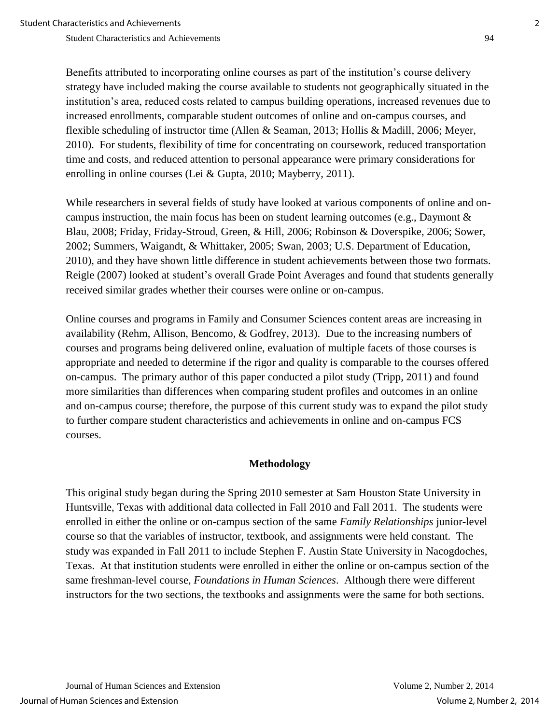Benefits attributed to incorporating online courses as part of the institution's course delivery strategy have included making the course available to students not geographically situated in the institution's area, reduced costs related to campus building operations, increased revenues due to increased enrollments, comparable student outcomes of online and on-campus courses, and flexible scheduling of instructor time (Allen & Seaman, 2013; Hollis & Madill, 2006; Meyer, 2010). For students, flexibility of time for concentrating on coursework, reduced transportation time and costs, and reduced attention to personal appearance were primary considerations for enrolling in online courses (Lei & Gupta, 2010; Mayberry, 2011).

While researchers in several fields of study have looked at various components of online and oncampus instruction, the main focus has been on student learning outcomes (e.g., Daymont & Blau, 2008; Friday, Friday-Stroud, Green, & Hill, 2006; Robinson & Doverspike, 2006; Sower, 2002; Summers, Waigandt, & Whittaker, 2005; Swan, 2003; U.S. Department of Education, 2010), and they have shown little difference in student achievements between those two formats. Reigle (2007) looked at student's overall Grade Point Averages and found that students generally received similar grades whether their courses were online or on-campus.

Online courses and programs in Family and Consumer Sciences content areas are increasing in availability (Rehm, Allison, Bencomo, & Godfrey, 2013). Due to the increasing numbers of courses and programs being delivered online, evaluation of multiple facets of those courses is appropriate and needed to determine if the rigor and quality is comparable to the courses offered on-campus. The primary author of this paper conducted a pilot study (Tripp, 2011) and found more similarities than differences when comparing student profiles and outcomes in an online and on-campus course; therefore, the purpose of this current study was to expand the pilot study to further compare student characteristics and achievements in online and on-campus FCS courses.

### **Methodology**

This original study began during the Spring 2010 semester at Sam Houston State University in Huntsville, Texas with additional data collected in Fall 2010 and Fall 2011. The students were enrolled in either the online or on-campus section of the same *Family Relationships* junior-level course so that the variables of instructor, textbook, and assignments were held constant. The study was expanded in Fall 2011 to include Stephen F. Austin State University in Nacogdoches, Texas. At that institution students were enrolled in either the online or on-campus section of the same freshman-level course, *Foundations in Human Sciences*. Although there were different instructors for the two sections, the textbooks and assignments were the same for both sections.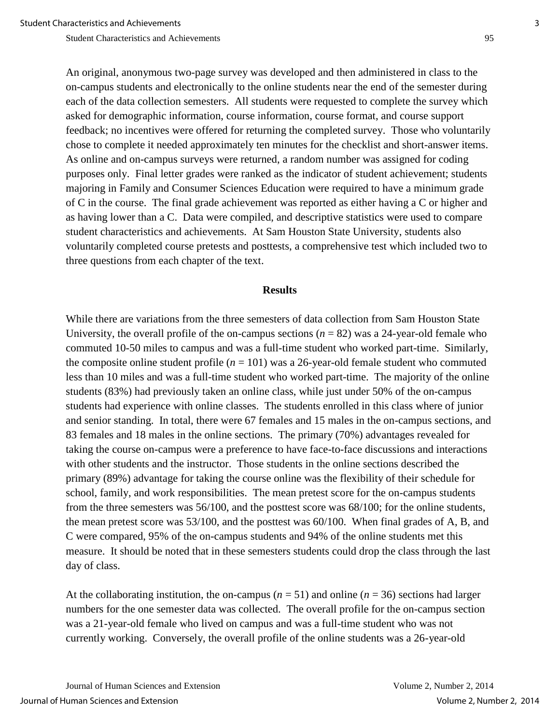An original, anonymous two-page survey was developed and then administered in class to the on-campus students and electronically to the online students near the end of the semester during each of the data collection semesters. All students were requested to complete the survey which asked for demographic information, course information, course format, and course support feedback; no incentives were offered for returning the completed survey. Those who voluntarily chose to complete it needed approximately ten minutes for the checklist and short-answer items. As online and on-campus surveys were returned, a random number was assigned for coding purposes only. Final letter grades were ranked as the indicator of student achievement; students majoring in Family and Consumer Sciences Education were required to have a minimum grade of C in the course. The final grade achievement was reported as either having a C or higher and as having lower than a C. Data were compiled, and descriptive statistics were used to compare student characteristics and achievements. At Sam Houston State University, students also voluntarily completed course pretests and posttests, a comprehensive test which included two to three questions from each chapter of the text.

#### **Results**

While there are variations from the three semesters of data collection from Sam Houston State University, the overall profile of the on-campus sections  $(n = 82)$  was a 24-year-old female who commuted 10-50 miles to campus and was a full-time student who worked part-time. Similarly, the composite online student profile  $(n = 101)$  was a 26-year-old female student who commuted less than 10 miles and was a full-time student who worked part-time. The majority of the online students (83%) had previously taken an online class, while just under 50% of the on-campus students had experience with online classes. The students enrolled in this class where of junior and senior standing. In total, there were 67 females and 15 males in the on-campus sections, and 83 females and 18 males in the online sections. The primary (70%) advantages revealed for taking the course on-campus were a preference to have face-to-face discussions and interactions with other students and the instructor. Those students in the online sections described the primary (89%) advantage for taking the course online was the flexibility of their schedule for school, family, and work responsibilities. The mean pretest score for the on-campus students from the three semesters was 56/100, and the posttest score was 68/100; for the online students, the mean pretest score was 53/100, and the posttest was 60/100. When final grades of A, B, and C were compared, 95% of the on-campus students and 94% of the online students met this measure. It should be noted that in these semesters students could drop the class through the last day of class.

At the collaborating institution, the on-campus ( $n = 51$ ) and online ( $n = 36$ ) sections had larger numbers for the one semester data was collected. The overall profile for the on-campus section was a 21-year-old female who lived on campus and was a full-time student who was not currently working. Conversely, the overall profile of the online students was a 26-year-old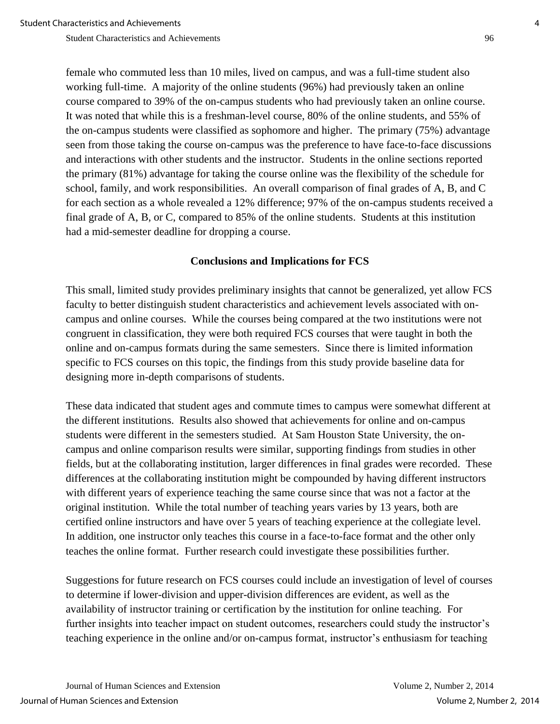female who commuted less than 10 miles, lived on campus, and was a full-time student also working full-time. A majority of the online students (96%) had previously taken an online course compared to 39% of the on-campus students who had previously taken an online course. It was noted that while this is a freshman-level course, 80% of the online students, and 55% of the on-campus students were classified as sophomore and higher. The primary (75%) advantage seen from those taking the course on-campus was the preference to have face-to-face discussions and interactions with other students and the instructor. Students in the online sections reported the primary (81%) advantage for taking the course online was the flexibility of the schedule for school, family, and work responsibilities. An overall comparison of final grades of A, B, and C for each section as a whole revealed a 12% difference; 97% of the on-campus students received a final grade of A, B, or C, compared to 85% of the online students. Students at this institution had a mid-semester deadline for dropping a course.

### **Conclusions and Implications for FCS**

This small, limited study provides preliminary insights that cannot be generalized, yet allow FCS faculty to better distinguish student characteristics and achievement levels associated with oncampus and online courses. While the courses being compared at the two institutions were not congruent in classification, they were both required FCS courses that were taught in both the online and on-campus formats during the same semesters. Since there is limited information specific to FCS courses on this topic, the findings from this study provide baseline data for designing more in-depth comparisons of students.

These data indicated that student ages and commute times to campus were somewhat different at the different institutions. Results also showed that achievements for online and on-campus students were different in the semesters studied. At Sam Houston State University, the oncampus and online comparison results were similar, supporting findings from studies in other fields, but at the collaborating institution, larger differences in final grades were recorded. These differences at the collaborating institution might be compounded by having different instructors with different years of experience teaching the same course since that was not a factor at the original institution. While the total number of teaching years varies by 13 years, both are certified online instructors and have over 5 years of teaching experience at the collegiate level. In addition, one instructor only teaches this course in a face-to-face format and the other only teaches the online format. Further research could investigate these possibilities further.

Suggestions for future research on FCS courses could include an investigation of level of courses to determine if lower-division and upper-division differences are evident, as well as the availability of instructor training or certification by the institution for online teaching. For further insights into teacher impact on student outcomes, researchers could study the instructor's teaching experience in the online and/or on-campus format, instructor's enthusiasm for teaching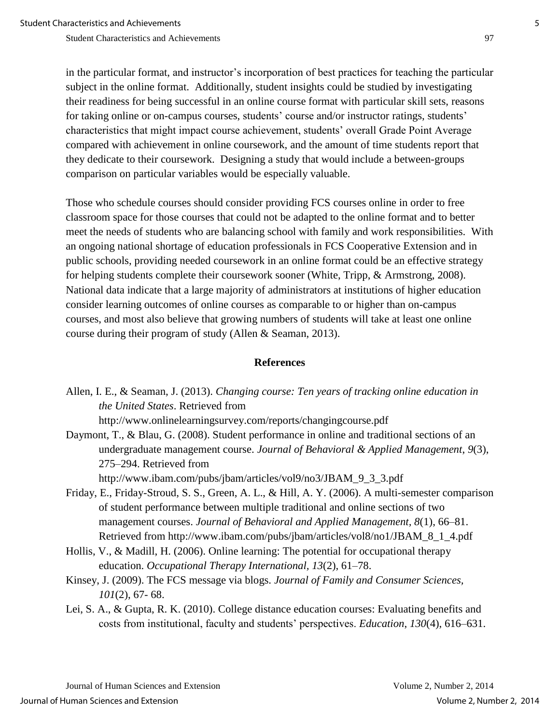in the particular format, and instructor's incorporation of best practices for teaching the particular subject in the online format. Additionally, student insights could be studied by investigating their readiness for being successful in an online course format with particular skill sets, reasons for taking online or on-campus courses, students' course and/or instructor ratings, students' characteristics that might impact course achievement, students' overall Grade Point Average compared with achievement in online coursework, and the amount of time students report that they dedicate to their coursework. Designing a study that would include a between-groups comparison on particular variables would be especially valuable.

Those who schedule courses should consider providing FCS courses online in order to free classroom space for those courses that could not be adapted to the online format and to better meet the needs of students who are balancing school with family and work responsibilities. With an ongoing national shortage of education professionals in FCS Cooperative Extension and in public schools, providing needed coursework in an online format could be an effective strategy for helping students complete their coursework sooner (White, Tripp, & Armstrong, 2008). National data indicate that a large majority of administrators at institutions of higher education consider learning outcomes of online courses as comparable to or higher than on-campus courses, and most also believe that growing numbers of students will take at least one online course during their program of study (Allen & Seaman, 2013).

### **References**

Allen, I. E., & Seaman, J. (2013). *Changing course: Ten years of tracking online education in the United States*. Retrieved from

http://www.onlinelearningsurvey.com/reports/changingcourse.pdf

Daymont, T., & Blau, G. (2008). Student performance in online and traditional sections of an undergraduate management course. *Journal of Behavioral & Applied Management*, *9*(3), 275–294. Retrieved from

http://www.ibam.com/pubs/jbam/articles/vol9/no3/JBAM\_9\_3\_3.pdf

- Friday, E., Friday-Stroud, S. S., Green, A. L., & Hill, A. Y. (2006). A multi-semester comparison of student performance between multiple traditional and online sections of two management courses. *Journal of Behavioral and Applied Management, 8*(1), 66–81. Retrieved from http://www.ibam.com/pubs/jbam/articles/vol8/no1/JBAM\_8\_1\_4.pdf
- Hollis, V., & Madill, H. (2006). Online learning: The potential for occupational therapy education. *Occupational Therapy International, 13*(2), 61–78.
- Kinsey, J. (2009). The FCS message via blogs. *Journal of Family and Consumer Sciences, 101*(2), 67- 68.
- Lei, S. A., & Gupta, R. K. (2010). College distance education courses: Evaluating benefits and costs from institutional, faculty and students' perspectives. *Education*, *130*(4), 616–631.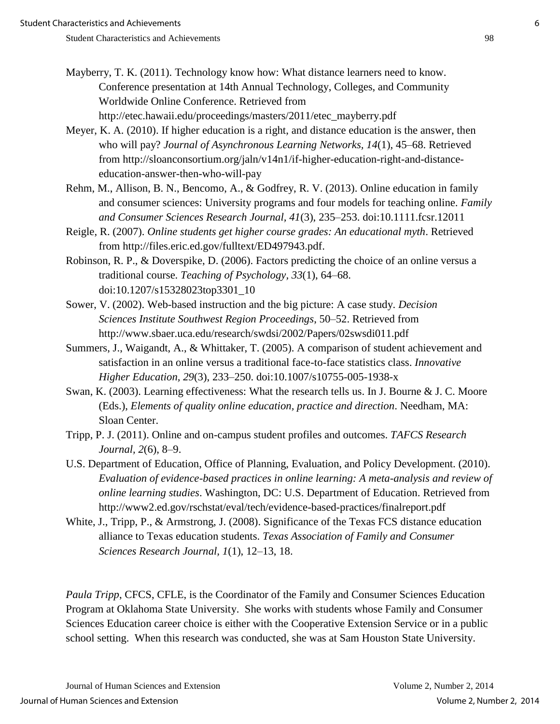- 
- Mayberry, T. K. (2011). Technology know how: What distance learners need to know. Conference presentation at 14th Annual Technology, Colleges, and Community Worldwide Online Conference. Retrieved from http://etec.hawaii.edu/proceedings/masters/2011/etec\_mayberry.pdf
- Meyer, K. A. (2010). If higher education is a right, and distance education is the answer, then who will pay? *Journal of Asynchronous Learning Networks, 14*(1), 45–68. Retrieved from http://sloanconsortium.org/jaln/v14n1/if-higher-education-right-and-distance education-answer-then-who-will-pay
- Rehm, M., Allison, B. N., Bencomo, A., & Godfrey, R. V. (2013). Online education in family and consumer sciences: University programs and four models for teaching online. *Family and Consumer Sciences Research Journal, 41*(3), 235–253. doi:10.1111.fcsr.12011
- Reigle, R. (2007). *Online students get higher course grades: An educational myth*. Retrieved from http://files.eric.ed.gov/fulltext/ED497943.pdf.
- Robinson, R. P., & Doverspike, D. (2006). Factors predicting the choice of an online versus a traditional course. *Teaching of Psychology, 33*(1), 64–68. doi:10.1207/s15328023top3301\_10
- Sower, V. (2002). Web-based instruction and the big picture: A case study. *Decision Sciences Institute Southwest Region Proceedings*, 50–52. Retrieved from http://www.sbaer.uca.edu/research/swdsi/2002/Papers/02swsdi011.pdf
- Summers, J., Waigandt, A., & Whittaker, T. (2005). A comparison of student achievement and satisfaction in an online versus a traditional face-to-face statistics class. *Innovative Higher Education, 29*(3), 233–250. doi:10.1007/s10755-005-1938-x
- Swan, K. (2003). Learning effectiveness: What the research tells us. In J. Bourne & J. C. Moore (Eds.), *Elements of quality online education, practice and direction*. Needham, MA: Sloan Center.
- Tripp, P. J. (2011). Online and on-campus student profiles and outcomes. *TAFCS Research Journal, 2*(6), 8–9.
- U.S. Department of Education, Office of Planning, Evaluation, and Policy Development. (2010). *Evaluation of evidence-based practices in online learning: A meta-analysis and review of online learning studies*. Washington, DC: U.S. Department of Education. Retrieved from http://www2.ed.gov/rschstat/eval/tech/evidence-based-practices/finalreport.pdf
- White, J., Tripp, P., & Armstrong, J. (2008). Significance of the Texas FCS distance education alliance to Texas education students. *Texas Association of Family and Consumer Sciences Research Journal, 1*(1), 12–13, 18.

*Paula Tripp*, CFCS, CFLE, is the Coordinator of the Family and Consumer Sciences Education Program at Oklahoma State University. She works with students whose Family and Consumer Sciences Education career choice is either with the Cooperative Extension Service or in a public school setting. When this research was conducted, she was at Sam Houston State University.